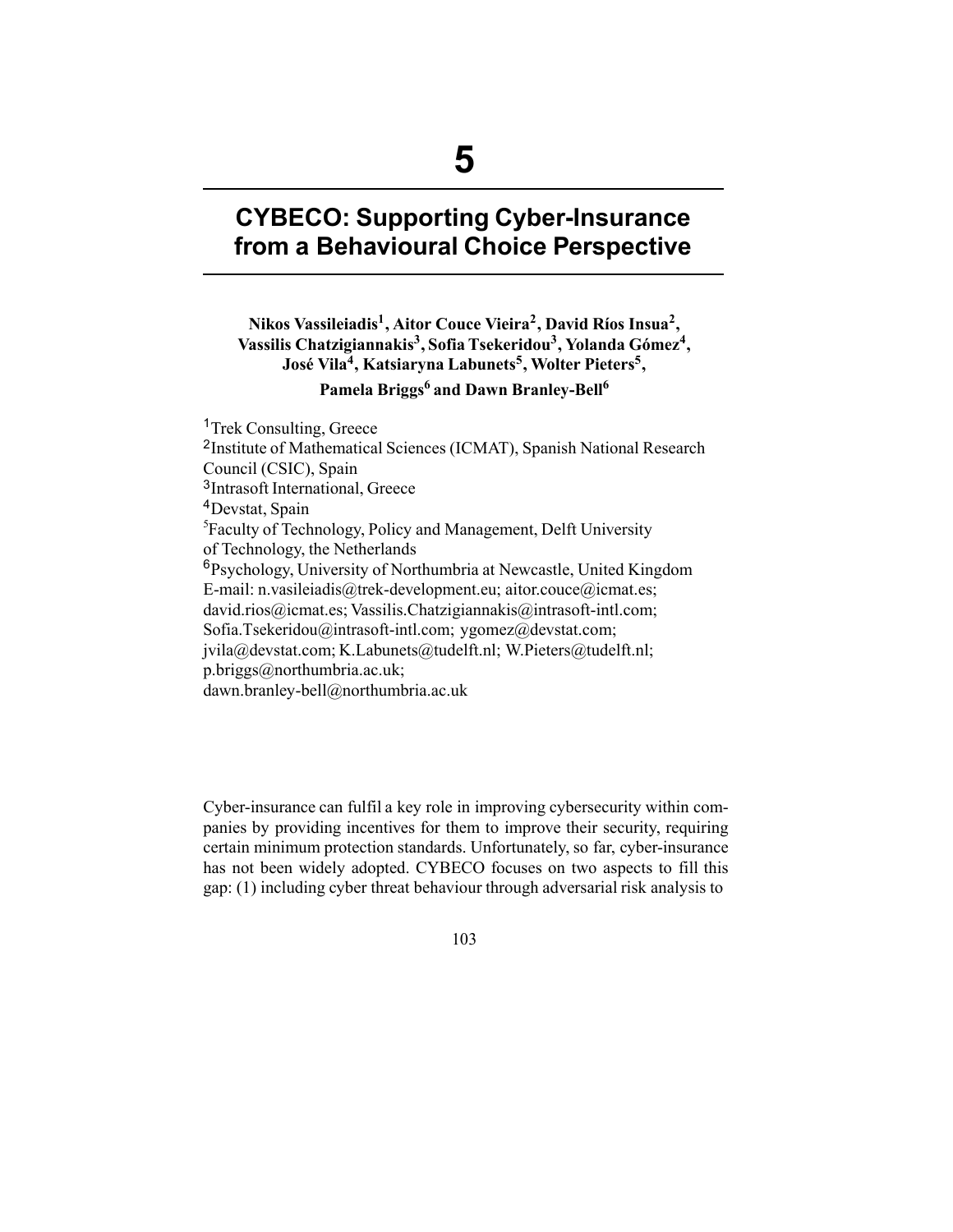Nikos Vassileiadis<sup>1</sup>, Aitor Couce Vieira<sup>2</sup>, David Ríos Insua<sup>2</sup>, Vassilis Chatzigiannakis<sup>3</sup>, Sofia Tsekeridou<sup>3</sup>, Yolanda Gómez<sup>4</sup>, José Vila<sup>4</sup>, Katsiaryna Labunets<sup>5</sup>, Wolter Pieters<sup>5</sup>, Pamela Briggs<sup>6</sup> and Dawn Branley-Bell<sup>6</sup>

<sup>1</sup>Trek Consulting, Greece <sup>2</sup>Institute of Mathematical Sciences (ICMAT), Spanish National Research Council (CSIC), Spain <sup>3</sup>Intrasoft International, Greece <sup>4</sup>Devstat, Spain 5 Faculty of Technology, Policy and Management, Delft University of Technology, the Netherlands <sup>6</sup>Psychology, University of Northumbria at Newcastle, United Kingdom E-mail: n.vasileiadis@trek-development.eu; aitor.couce@icmat.es; david.rios@icmat.es; Vassilis.Chatzigiannakis@intrasoft-intl.com; Sofia.Tsekeridou@intrasoft-intl.com; ygomez@devstat.com; jvila@devstat.com; K.Labunets@tudelft.nl; W.Pieters@tudelft.nl; p.briggs@northumbria.ac.uk; dawn.branley-bell@northumbria.ac.uk

Cyber-insurance can fulfil a key role in improving cybersecurity within companies by providing incentives for them to improve their security, requiring certain minimum protection standards. Unfortunately, so far, cyber-insurance has not been widely adopted. CYBECO focuses on two aspects to fill this gap: (1) including cyber threat behaviour through adversarial risk analysis to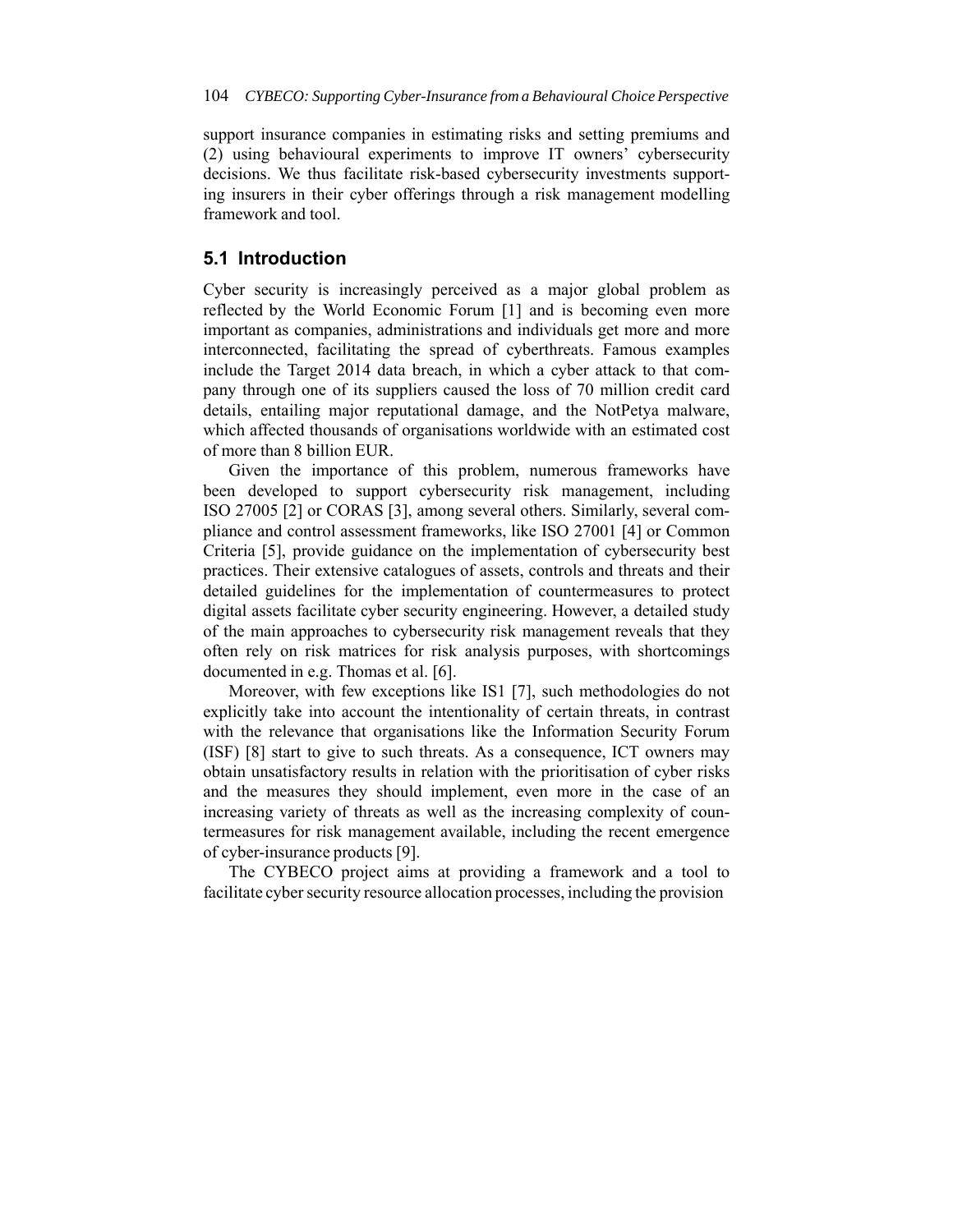support insurance companies in estimating risks and setting premiums and (2) using behavioural experiments to improve IT owners' cybersecurity decisions. We thus facilitate risk-based cybersecurity investments supporting insurers in their cyber offerings through a risk management modelling framework and tool.

## **5.1 Introduction**

Cyber security is increasingly perceived as a major global problem as reflected by the World Economic Forum [1] and is becoming even more important as companies, administrations and individuals get more and more interconnected, facilitating the spread of cyberthreats. Famous examples include the Target 2014 data breach, in which a cyber attack to that company through one of its suppliers caused the loss of 70 million credit card details, entailing major reputational damage, and the NotPetya malware, which affected thousands of organisations worldwide with an estimated cost of more than 8 billion EUR.

Given the importance of this problem, numerous frameworks have been developed to support cybersecurity risk management, including ISO 27005 [2] or CORAS [3], among several others. Similarly, several compliance and control assessment frameworks, like ISO 27001 [4] or Common Criteria [5], provide guidance on the implementation of cybersecurity best practices. Their extensive catalogues of assets, controls and threats and their detailed guidelines for the implementation of countermeasures to protect digital assets facilitate cyber security engineering. However, a detailed study of the main approaches to cybersecurity risk management reveals that they often rely on risk matrices for risk analysis purposes, with shortcomings documented in e.g. Thomas et al. [6].

Moreover, with few exceptions like IS1 [7], such methodologies do not explicitly take into account the intentionality of certain threats, in contrast with the relevance that organisations like the Information Security Forum (ISF) [8] start to give to such threats. As a consequence, ICT owners may obtain unsatisfactory results in relation with the prioritisation of cyber risks and the measures they should implement, even more in the case of an increasing variety of threats as well as the increasing complexity of countermeasures for risk management available, including the recent emergence of cyber-insurance products [9].

The CYBECO project aims at providing a framework and a tool to facilitate cyber security resource allocation processes, including the provision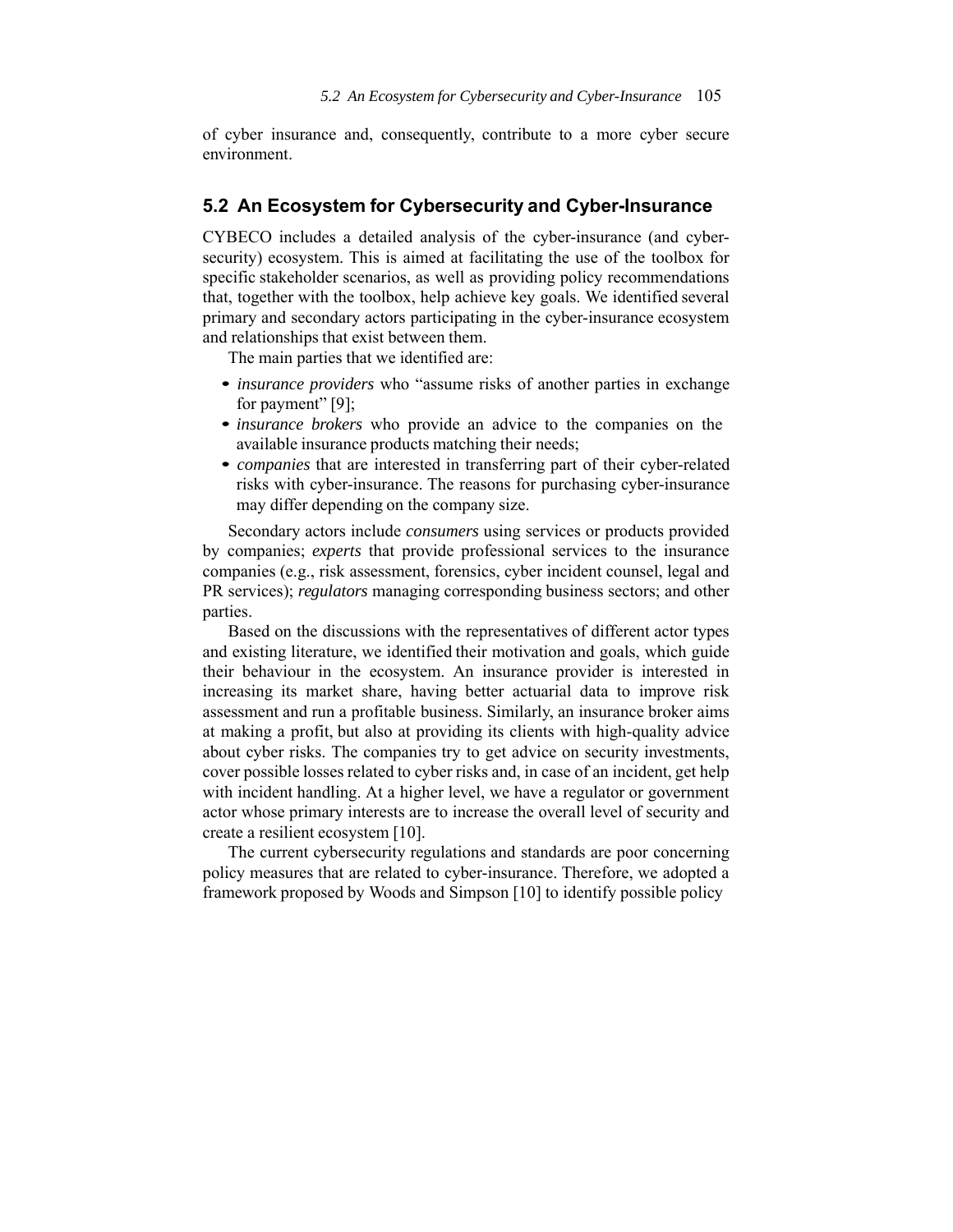of cyber insurance and, consequently, contribute to a more cyber secure environment.

## **5.2 An Ecosystem for Cybersecurity and Cyber-Insurance**

CYBECO includes a detailed analysis of the cyber-insurance (and cybersecurity) ecosystem. This is aimed at facilitating the use of the toolbox for specific stakeholder scenarios, as well as providing policy recommendations that, together with the toolbox, help achieve key goals. We identified several primary and secondary actors participating in the cyber-insurance ecosystem and relationships that exist between them.

The main parties that we identified are:

- *insurance providers* who "assume risks of another parties in exchange for payment" [9];
- *insurance brokers* who provide an advice to the companies on the available insurance products matching their needs;
- *companies* that are interested in transferring part of their cyber-related risks with cyber-insurance. The reasons for purchasing cyber-insurance may differ depending on the company size.

Secondary actors include *consumers* using services or products provided by companies; *experts* that provide professional services to the insurance companies (e.g., risk assessment, forensics, cyber incident counsel, legal and PR services); *regulators* managing corresponding business sectors; and other parties.

Based on the discussions with the representatives of different actor types and existing literature, we identified their motivation and goals, which guide their behaviour in the ecosystem. An insurance provider is interested in increasing its market share, having better actuarial data to improve risk assessment and run a profitable business. Similarly, an insurance broker aims at making a profit, but also at providing its clients with high-quality advice about cyber risks. The companies try to get advice on security investments, cover possible losses related to cyber risks and, in case of an incident, get help with incident handling. At a higher level, we have a regulator or government actor whose primary interests are to increase the overall level of security and create a resilient ecosystem [10].

The current cybersecurity regulations and standards are poor concerning policy measures that are related to cyber-insurance. Therefore, we adopted a framework proposed by Woods and Simpson [10] to identify possible policy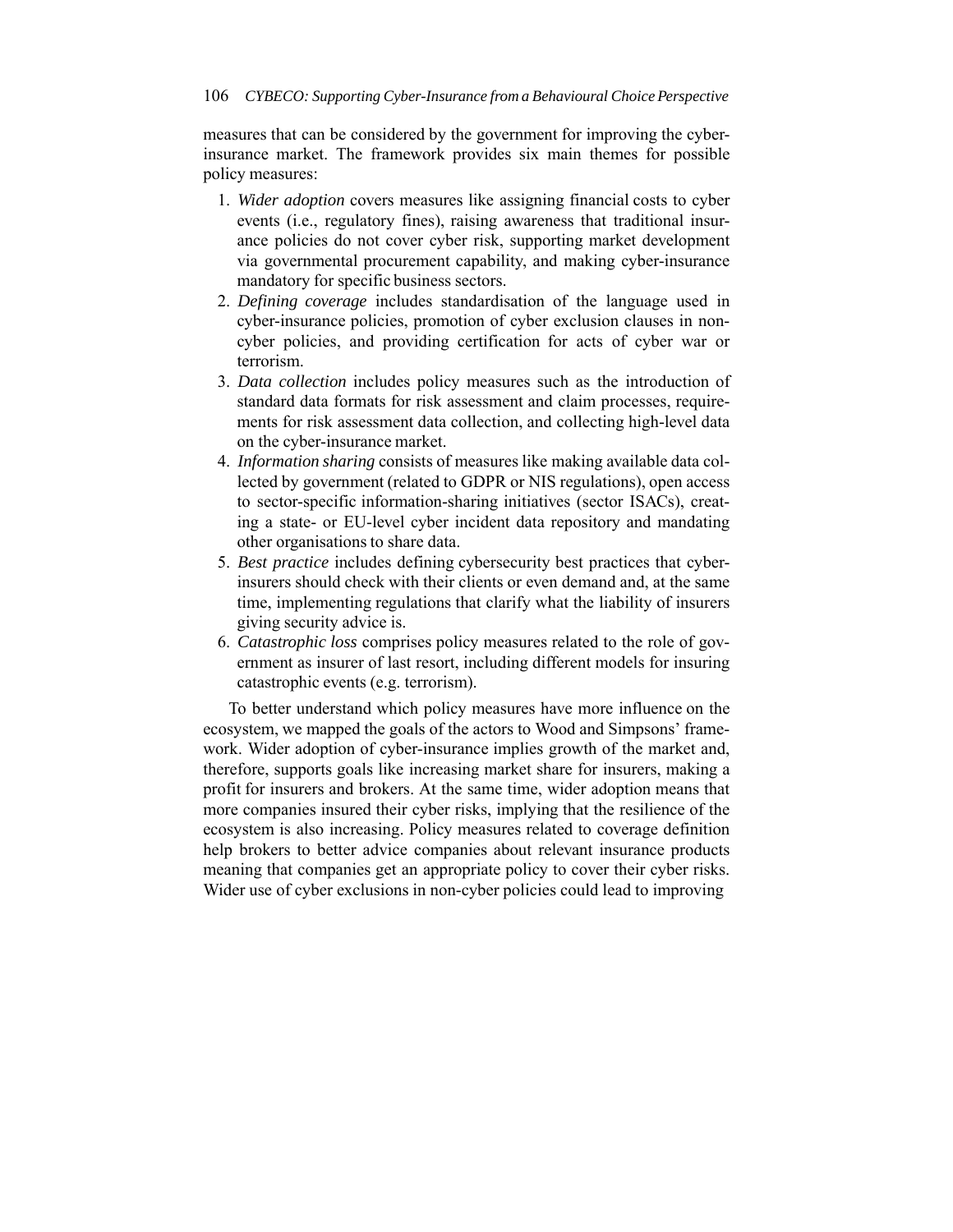measures that can be considered by the government for improving the cyberinsurance market. The framework provides six main themes for possible policy measures:

- 1. *Wider adoption* covers measures like assigning financial costs to cyber events (i.e., regulatory fines), raising awareness that traditional insurance policies do not cover cyber risk, supporting market development via governmental procurement capability, and making cyber-insurance mandatory for specific business sectors.
- 2. *Defining coverage* includes standardisation of the language used in cyber-insurance policies, promotion of cyber exclusion clauses in noncyber policies, and providing certification for acts of cyber war or terrorism.
- 3. *Data collection* includes policy measures such as the introduction of standard data formats for risk assessment and claim processes, requirements for risk assessment data collection, and collecting high-level data on the cyber-insurance market.
- 4. *Information sharing* consists of measures like making available data collected by government (related to GDPR or NIS regulations), open access to sector-specific information-sharing initiatives (sector ISACs), creating a state- or EU-level cyber incident data repository and mandating other organisations to share data.
- 5. *Best practice* includes defining cybersecurity best practices that cyberinsurers should check with their clients or even demand and, at the same time, implementing regulations that clarify what the liability of insurers giving security advice is.
- 6. *Catastrophic loss* comprises policy measures related to the role of government as insurer of last resort, including different models for insuring catastrophic events (e.g. terrorism).

To better understand which policy measures have more influence on the ecosystem, we mapped the goals of the actors to Wood and Simpsons' framework. Wider adoption of cyber-insurance implies growth of the market and, therefore, supports goals like increasing market share for insurers, making a profit for insurers and brokers. At the same time, wider adoption means that more companies insured their cyber risks, implying that the resilience of the ecosystem is also increasing. Policy measures related to coverage definition help brokers to better advice companies about relevant insurance products meaning that companies get an appropriate policy to cover their cyber risks. Wider use of cyber exclusions in non-cyber policies could lead to improving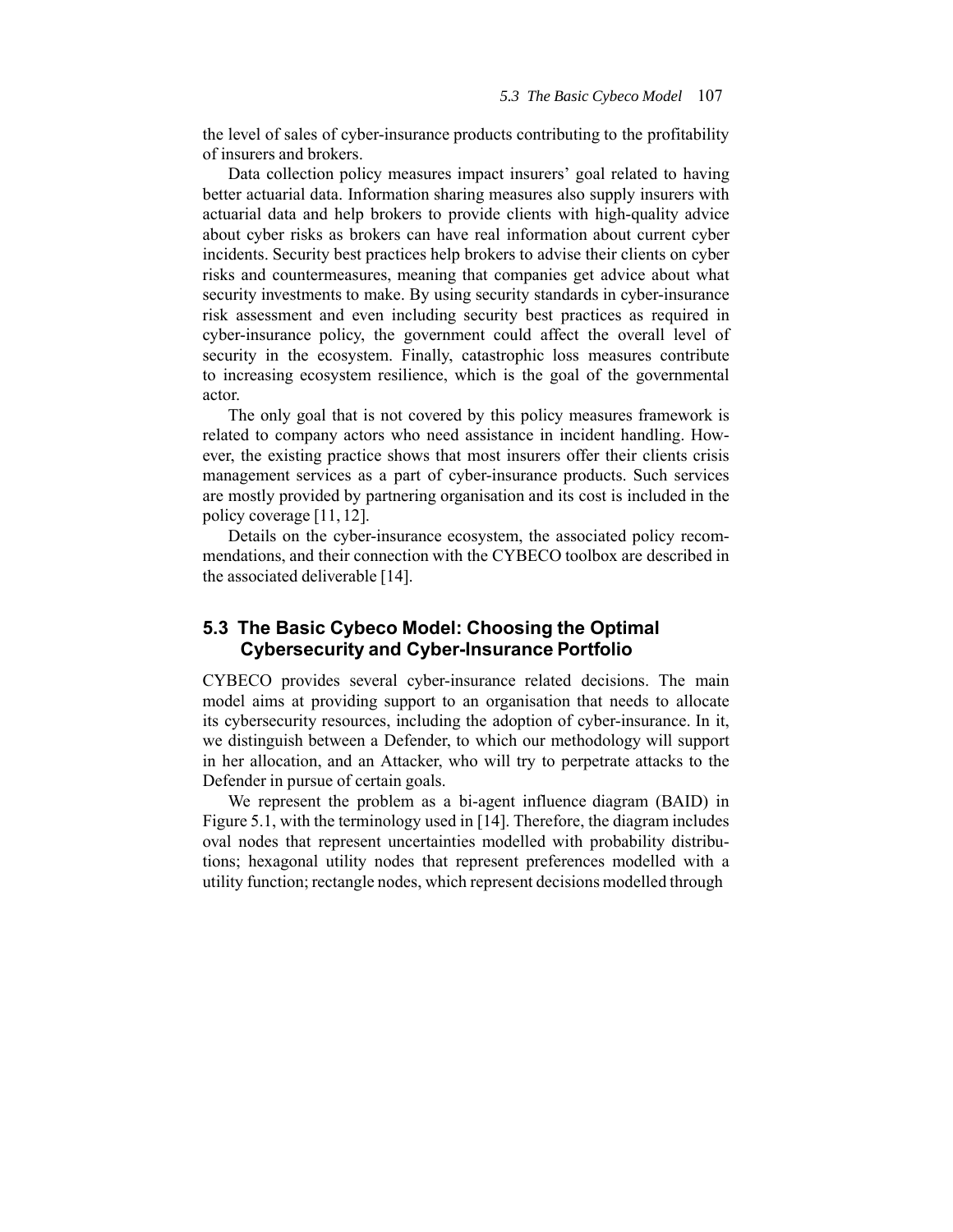the level of sales of cyber-insurance products contributing to the profitability of insurers and brokers.

Data collection policy measures impact insurers' goal related to having better actuarial data. Information sharing measures also supply insurers with actuarial data and help brokers to provide clients with high-quality advice about cyber risks as brokers can have real information about current cyber incidents. Security best practices help brokers to advise their clients on cyber risks and countermeasures, meaning that companies get advice about what security investments to make. By using security standards in cyber-insurance risk assessment and even including security best practices as required in cyber-insurance policy, the government could affect the overall level of security in the ecosystem. Finally, catastrophic loss measures contribute to increasing ecosystem resilience, which is the goal of the governmental actor.

The only goal that is not covered by this policy measures framework is related to company actors who need assistance in incident handling. However, the existing practice shows that most insurers offer their clients crisis management services as a part of cyber-insurance products. Such services are mostly provided by partnering organisation and its cost is included in the policy coverage [11, 12].

Details on the cyber-insurance ecosystem, the associated policy recommendations, and their connection with the CYBECO toolbox are described in the associated deliverable [14].

### **5.3 The Basic Cybeco Model: Choosing the Optimal Cybersecurity and Cyber-Insurance Portfolio**

CYBECO provides several cyber-insurance related decisions. The main model aims at providing support to an organisation that needs to allocate its cybersecurity resources, including the adoption of cyber-insurance. In it, we distinguish between a Defender, to which our methodology will support in her allocation, and an Attacker, who will try to perpetrate attacks to the Defender in pursue of certain goals.

We represent the problem as a bi-agent influence diagram (BAID) in Figure 5.1, with the terminology used in [14]. Therefore, the diagram includes oval nodes that represent uncertainties modelled with probability distributions; hexagonal utility nodes that represent preferences modelled with a utility function; rectangle nodes, which represent decisions modelled through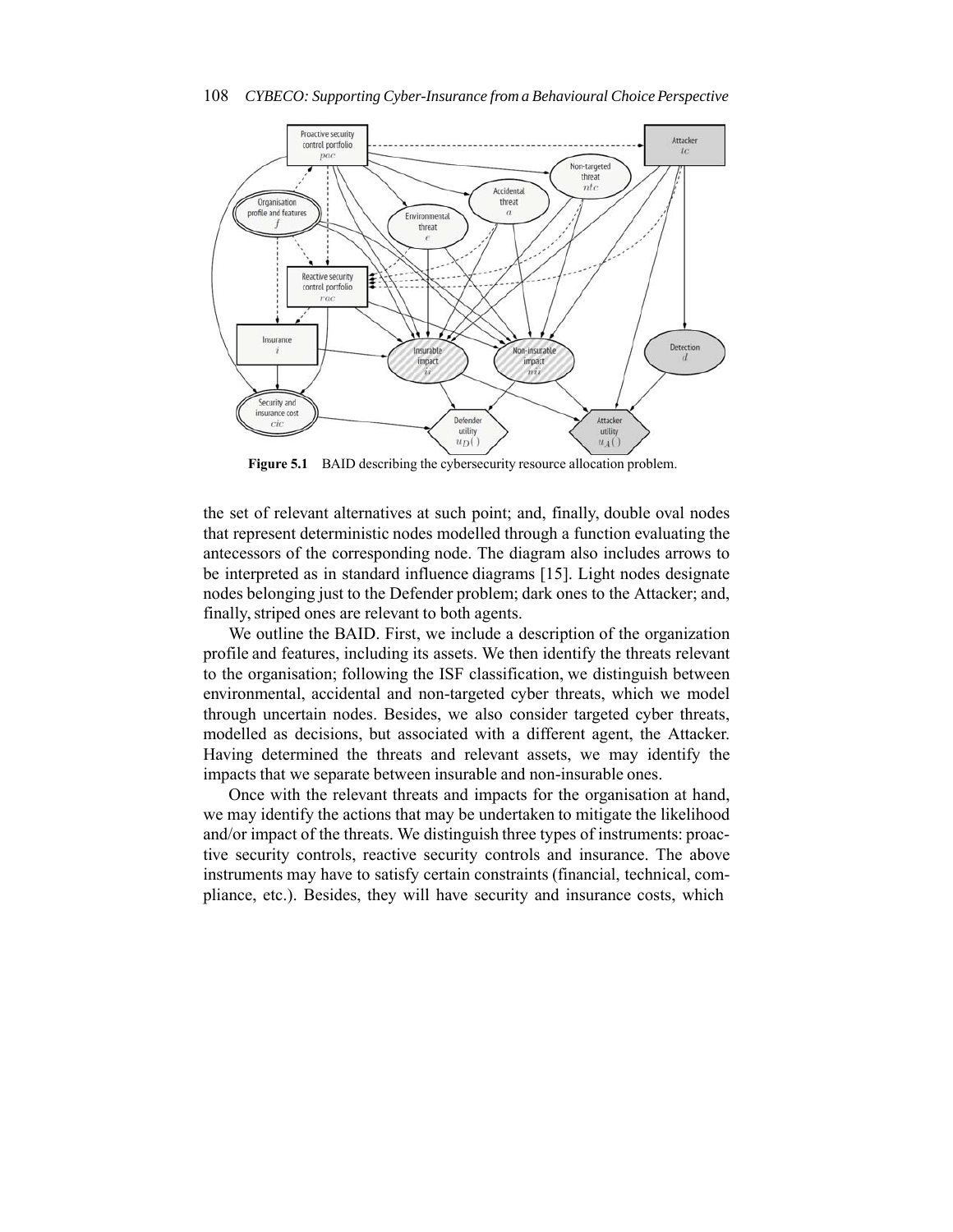

**Figure 5.1** BAID describing the cybersecurity resource allocation problem.

the set of relevant alternatives at such point; and, finally, double oval nodes that represent deterministic nodes modelled through a function evaluating the antecessors of the corresponding node. The diagram also includes arrows to be interpreted as in standard influence diagrams [15]. Light nodes designate nodes belonging just to the Defender problem; dark ones to the Attacker; and, finally, striped ones are relevant to both agents.

We outline the BAID. First, we include a description of the organization profile and features, including its assets. We then identify the threats relevant to the organisation; following the ISF classification, we distinguish between environmental, accidental and non-targeted cyber threats, which we model through uncertain nodes. Besides, we also consider targeted cyber threats, modelled as decisions, but associated with a different agent, the Attacker. Having determined the threats and relevant assets, we may identify the impacts that we separate between insurable and non-insurable ones.

Once with the relevant threats and impacts for the organisation at hand, we may identify the actions that may be undertaken to mitigate the likelihood and/or impact of the threats. We distinguish three types of instruments: proactive security controls, reactive security controls and insurance. The above instruments may have to satisfy certain constraints (financial, technical, compliance, etc.). Besides, they will have security and insurance costs, which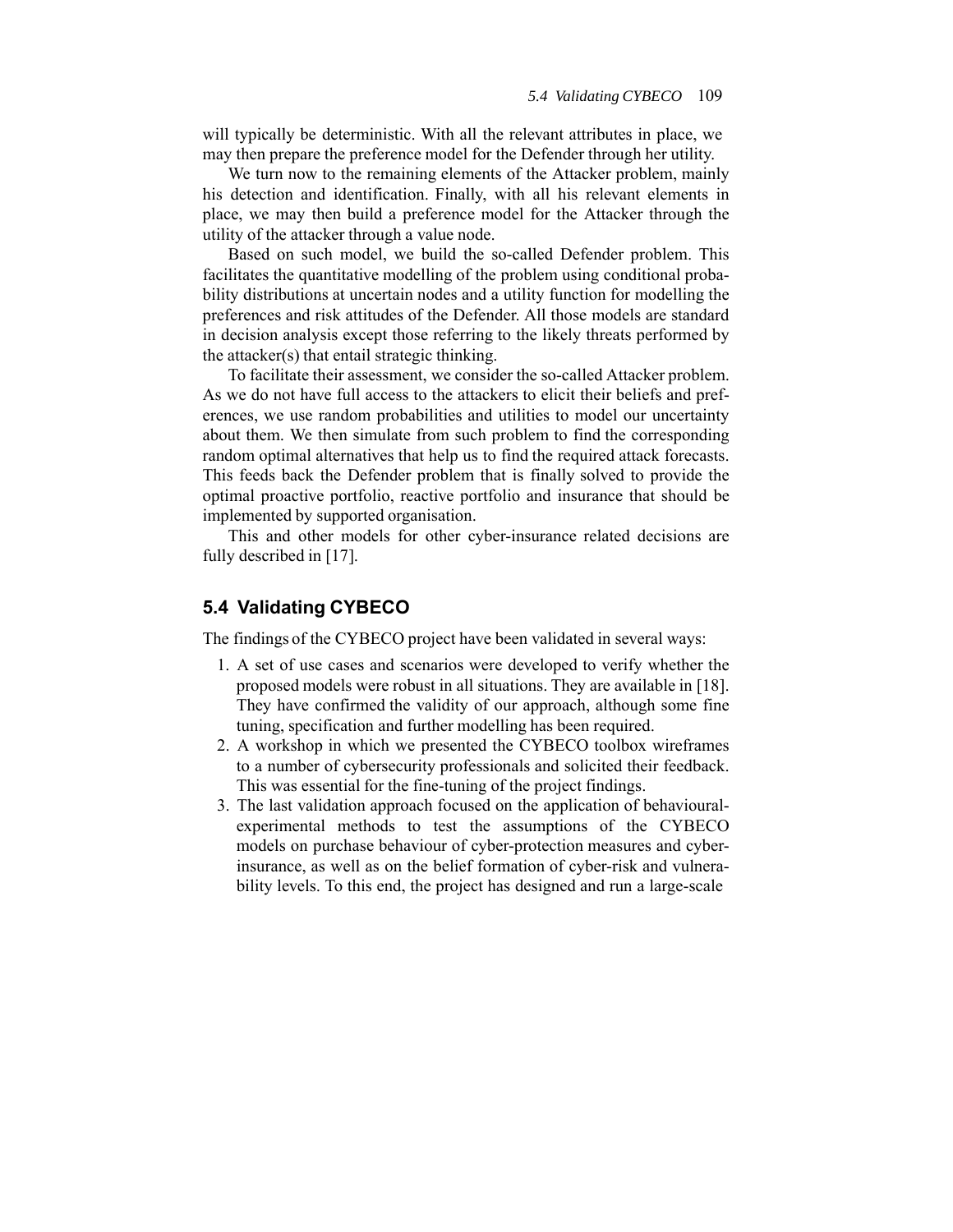will typically be deterministic. With all the relevant attributes in place, we may then prepare the preference model for the Defender through her utility.

We turn now to the remaining elements of the Attacker problem, mainly his detection and identification. Finally, with all his relevant elements in place, we may then build a preference model for the Attacker through the utility of the attacker through a value node.

Based on such model, we build the so-called Defender problem. This facilitates the quantitative modelling of the problem using conditional probability distributions at uncertain nodes and a utility function for modelling the preferences and risk attitudes of the Defender. All those models are standard in decision analysis except those referring to the likely threats performed by the attacker(s) that entail strategic thinking.

To facilitate their assessment, we consider the so-called Attacker problem. As we do not have full access to the attackers to elicit their beliefs and preferences, we use random probabilities and utilities to model our uncertainty about them. We then simulate from such problem to find the corresponding random optimal alternatives that help us to find the required attack forecasts. This feeds back the Defender problem that is finally solved to provide the optimal proactive portfolio, reactive portfolio and insurance that should be implemented by supported organisation.

This and other models for other cyber-insurance related decisions are fully described in [17].

# **5.4 Validating CYBECO**

The findings of the CYBECO project have been validated in several ways:

- 1. A set of use cases and scenarios were developed to verify whether the proposed models were robust in all situations. They are available in [18]. They have confirmed the validity of our approach, although some fine tuning, specification and further modelling has been required.
- 2. A workshop in which we presented the CYBECO toolbox wireframes to a number of cybersecurity professionals and solicited their feedback. This was essential for the fine-tuning of the project findings.
- 3. The last validation approach focused on the application of behaviouralexperimental methods to test the assumptions of the CYBECO models on purchase behaviour of cyber-protection measures and cyberinsurance, as well as on the belief formation of cyber-risk and vulnerability levels. To this end, the project has designed and run a large-scale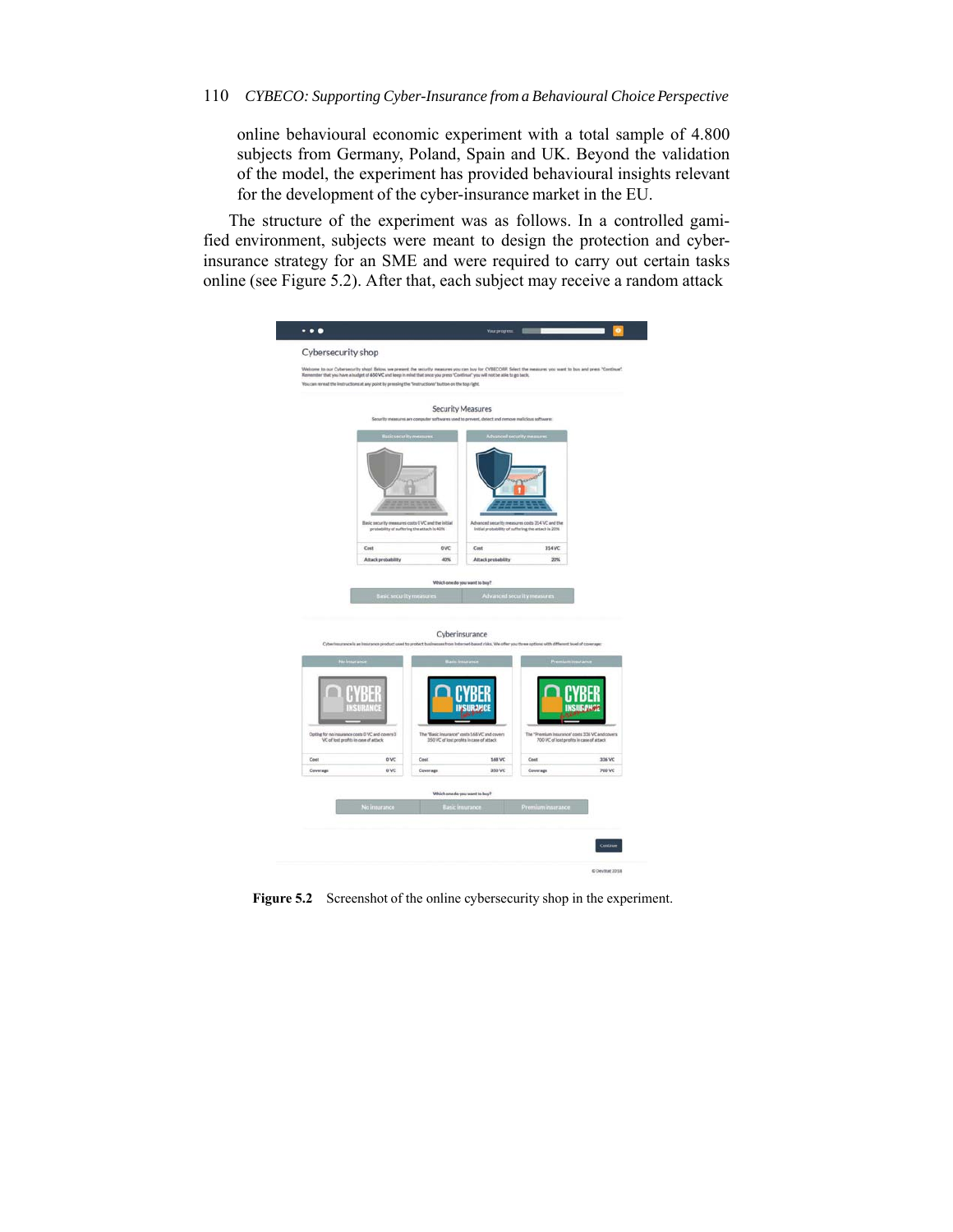online behavioural economic experiment with a total sample of 4.800 subjects from Germany, Poland, Spain and UK. Beyond the validation of the model, the experiment has provided behavioural insights relevant for the development of the cyber-insurance market in the EU.

The structure of the experiment was as follows. In a controlled gamified environment, subjects were meant to design the protection and cyberinsurance strategy for an SME and were required to carry out certain tasks online (see Figure 5.2). After that, each subject may receive a random attack

| Cybersecurity shop |                                                                                                                            |                                                                                                  |                       |                                                                                                                                                               |          |
|--------------------|----------------------------------------------------------------------------------------------------------------------------|--------------------------------------------------------------------------------------------------|-----------------------|---------------------------------------------------------------------------------------------------------------------------------------------------------------|----------|
|                    |                                                                                                                            |                                                                                                  |                       |                                                                                                                                                               |          |
|                    | Remember that you have a budget of 450 VC and keep in mind that once you press "Continue" you will not be able to go back. |                                                                                                  |                       | Welcome to our Cybersecurity shop! Below, we present the security measures you can buy for CYBECORR Select the measures you want to buy and press "Continue". |          |
|                    | You can reread the instructions at any point by pressing the "instructions" button on the top right.                       |                                                                                                  |                       |                                                                                                                                                               |          |
|                    |                                                                                                                            |                                                                                                  |                       |                                                                                                                                                               |          |
|                    |                                                                                                                            | <b>Security Measures</b>                                                                         |                       |                                                                                                                                                               |          |
|                    |                                                                                                                            | Security measures are computer softwares used to prevent, detect and remove malicious software:  |                       |                                                                                                                                                               |          |
|                    | <b><i><u>Autic security</u></i></b> mea                                                                                    |                                                                                                  |                       |                                                                                                                                                               |          |
|                    |                                                                                                                            |                                                                                                  |                       |                                                                                                                                                               |          |
|                    |                                                                                                                            |                                                                                                  |                       |                                                                                                                                                               |          |
|                    |                                                                                                                            |                                                                                                  |                       |                                                                                                                                                               |          |
|                    |                                                                                                                            |                                                                                                  |                       |                                                                                                                                                               |          |
|                    |                                                                                                                            |                                                                                                  |                       |                                                                                                                                                               |          |
|                    |                                                                                                                            |                                                                                                  |                       |                                                                                                                                                               |          |
|                    |                                                                                                                            | Basic security measures costs 0 VC and the initial<br>probability of suffering the attach is 40% |                       | Advanced security measures costs 314 VC and the<br>initial probability of suffering the attach is 20%.                                                        |          |
|                    |                                                                                                                            |                                                                                                  |                       |                                                                                                                                                               |          |
|                    | Cost                                                                                                                       | ovc<br>40%                                                                                       | Cost                  | 314 VC<br>20%                                                                                                                                                 |          |
|                    | Attack probability                                                                                                         |                                                                                                  | Attack probability    |                                                                                                                                                               |          |
|                    |                                                                                                                            | Which one do you want to buy?                                                                    |                       |                                                                                                                                                               |          |
|                    | <b>Basic security measures</b>                                                                                             |                                                                                                  |                       | Advanced security measures                                                                                                                                    |          |
|                    |                                                                                                                            |                                                                                                  |                       |                                                                                                                                                               |          |
|                    |                                                                                                                            |                                                                                                  |                       |                                                                                                                                                               |          |
|                    |                                                                                                                            | Cyberinsurance                                                                                   |                       |                                                                                                                                                               |          |
|                    |                                                                                                                            |                                                                                                  |                       | Cybertreurance is an insurance product used to protect businesses from internet-based risks. We offer you three options with different level of coverage:     |          |
|                    | No Imperation                                                                                                              |                                                                                                  | <b>Luic insurance</b> | <b>Premium</b> Insurance                                                                                                                                      |          |
|                    |                                                                                                                            |                                                                                                  |                       |                                                                                                                                                               |          |
|                    |                                                                                                                            |                                                                                                  |                       |                                                                                                                                                               |          |
|                    |                                                                                                                            |                                                                                                  |                       |                                                                                                                                                               |          |
|                    | îί                                                                                                                         |                                                                                                  |                       |                                                                                                                                                               |          |
|                    | <b>SUBJECT</b>                                                                                                             |                                                                                                  | INSURANC              |                                                                                                                                                               |          |
|                    |                                                                                                                            |                                                                                                  |                       |                                                                                                                                                               |          |
|                    | Opting for no insurance costs 0 VC and covers 0<br>VC of lost profits in case of attack                                    | The "Basic Insurance" costs 168 VC and covers<br>350 VC of lost profits in case of attack        |                       | The "Premium Insurance" costs 336 VC and covers<br>700 VC of lost profits in case of attack                                                                   |          |
|                    |                                                                                                                            |                                                                                                  |                       |                                                                                                                                                               |          |
| Cost               | ove                                                                                                                        | Cost                                                                                             | 168 VC                | Civil                                                                                                                                                         | 336 VC   |
| Coverage           | ovc                                                                                                                        | Coverage                                                                                         | 350 VC                | Coverage                                                                                                                                                      | 700 VC   |
|                    |                                                                                                                            |                                                                                                  |                       |                                                                                                                                                               |          |
|                    | No insurance                                                                                                               | Which one do you want to buy?<br><b>Basic insurance</b>                                          |                       | Premium insurance                                                                                                                                             |          |
|                    |                                                                                                                            |                                                                                                  |                       |                                                                                                                                                               |          |
|                    |                                                                                                                            |                                                                                                  |                       |                                                                                                                                                               |          |
|                    |                                                                                                                            |                                                                                                  |                       |                                                                                                                                                               | Continue |

**Figure 5.2** Screenshot of the online cybersecurity shop in the experiment.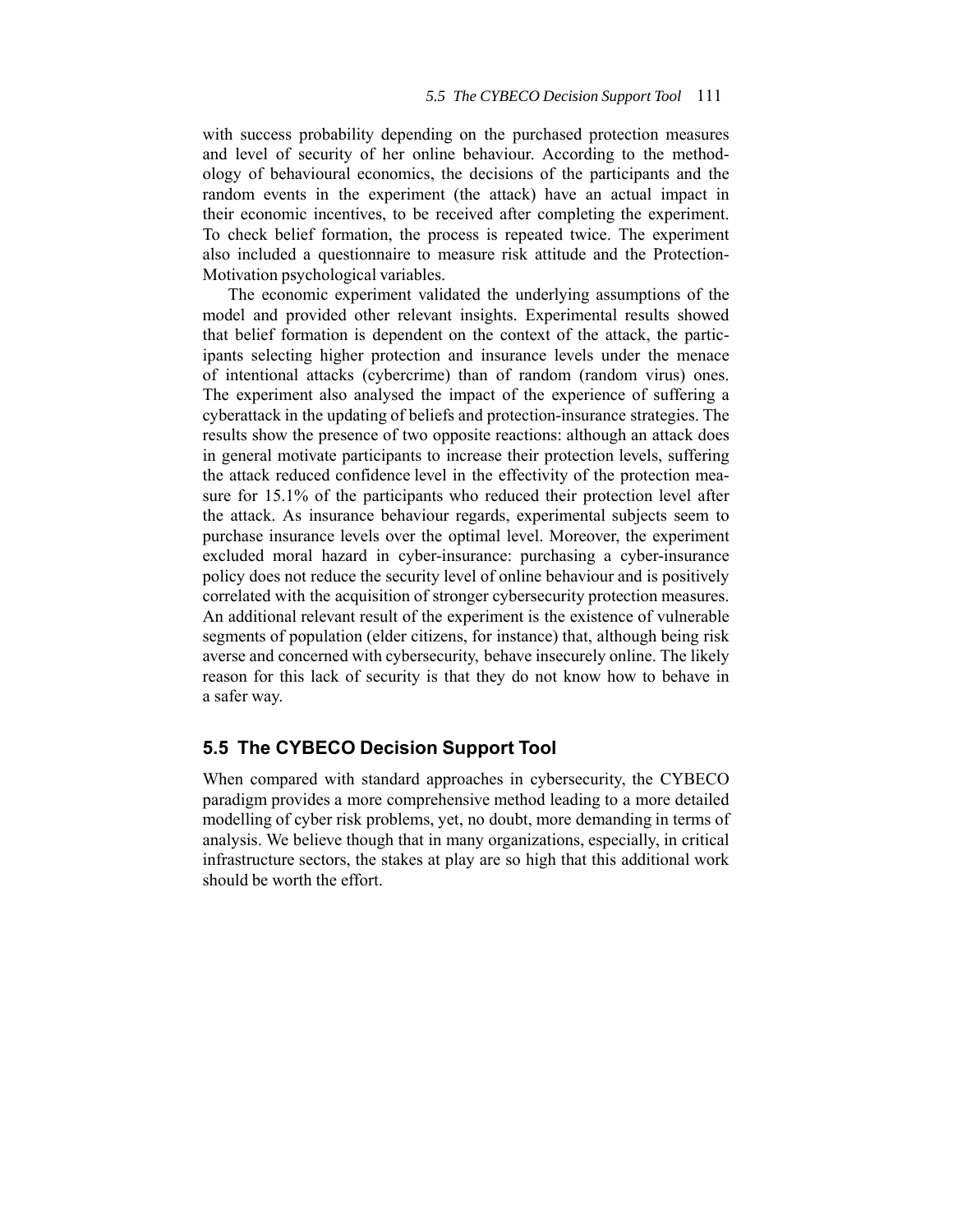with success probability depending on the purchased protection measures and level of security of her online behaviour. According to the methodology of behavioural economics, the decisions of the participants and the random events in the experiment (the attack) have an actual impact in their economic incentives, to be received after completing the experiment. To check belief formation, the process is repeated twice. The experiment also included a questionnaire to measure risk attitude and the Protection-Motivation psychological variables.

The economic experiment validated the underlying assumptions of the model and provided other relevant insights. Experimental results showed that belief formation is dependent on the context of the attack, the participants selecting higher protection and insurance levels under the menace of intentional attacks (cybercrime) than of random (random virus) ones. The experiment also analysed the impact of the experience of suffering a cyberattack in the updating of beliefs and protection-insurance strategies. The results show the presence of two opposite reactions: although an attack does in general motivate participants to increase their protection levels, suffering the attack reduced confidence level in the effectivity of the protection measure for 15.1% of the participants who reduced their protection level after the attack. As insurance behaviour regards, experimental subjects seem to purchase insurance levels over the optimal level. Moreover, the experiment excluded moral hazard in cyber-insurance: purchasing a cyber-insurance policy does not reduce the security level of online behaviour and is positively correlated with the acquisition of stronger cybersecurity protection measures. An additional relevant result of the experiment is the existence of vulnerable segments of population (elder citizens, for instance) that, although being risk averse and concerned with cybersecurity, behave insecurely online. The likely reason for this lack of security is that they do not know how to behave in a safer way.

### **5.5 The CYBECO Decision Support Tool**

When compared with standard approaches in cybersecurity, the CYBECO paradigm provides a more comprehensive method leading to a more detailed modelling of cyber risk problems, yet, no doubt, more demanding in terms of analysis. We believe though that in many organizations, especially, in critical infrastructure sectors, the stakes at play are so high that this additional work should be worth the effort.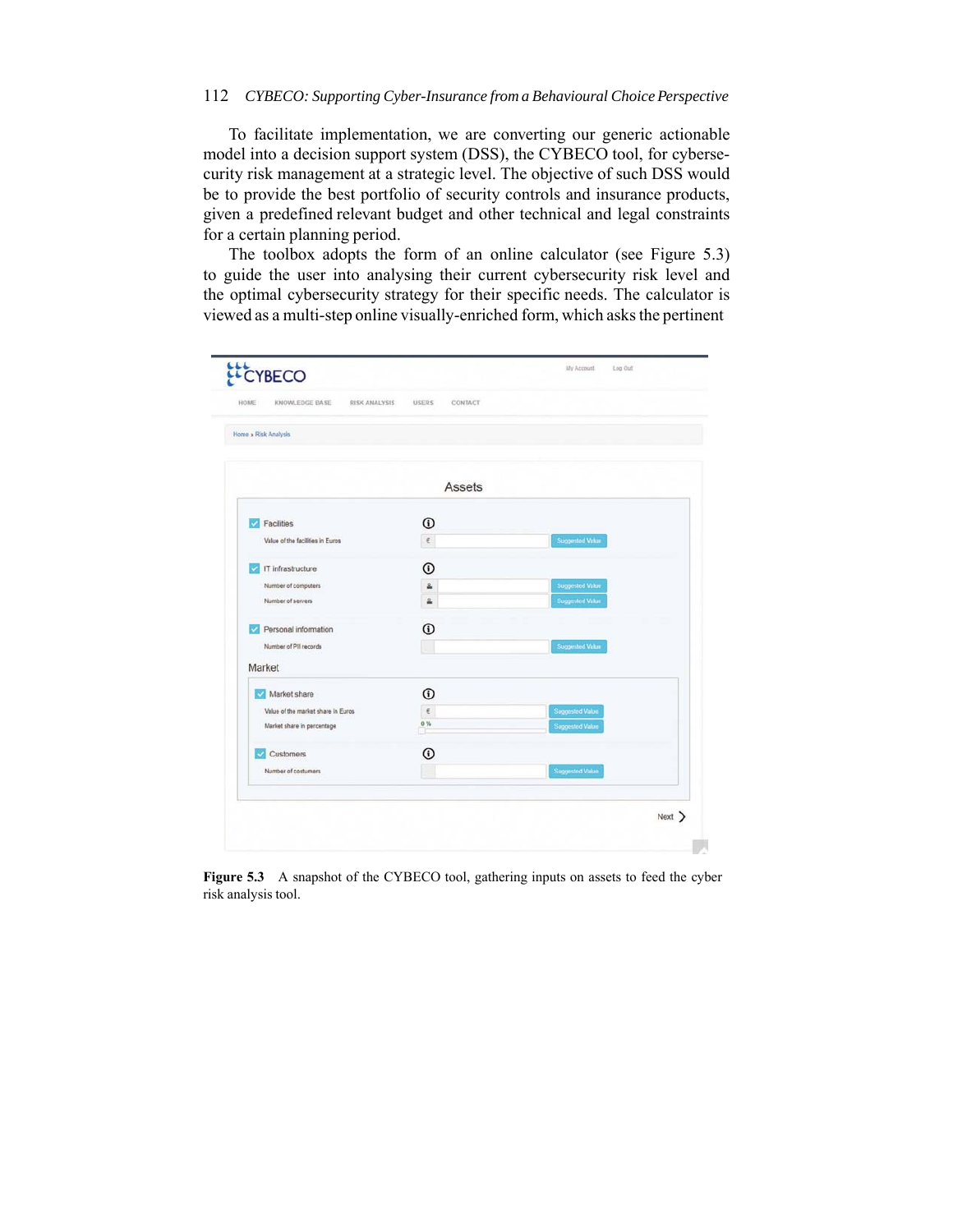To facilitate implementation, we are converting our generic actionable model into a decision support system (DSS), the CYBECO tool, for cybersecurity risk management at a strategic level. The objective of such DSS would be to provide the best portfolio of security controls and insurance products, given a predefined relevant budget and other technical and legal constraints for a certain planning period.

The toolbox adopts the form of an online calculator (see Figure 5.3) to guide the user into analysing their current cybersecurity risk level and the optimal cybersecurity strategy for their specific needs. The calculator is viewed as a multi-step online visually-enriched form, which asks the pertinent

| Home » Risk Analysis               |                    |                        |
|------------------------------------|--------------------|------------------------|
|                                    |                    |                        |
|                                    | Assets             |                        |
| Facilities                         | ⊙                  |                        |
| Value of the facilities in Euros   | $\epsilon$         | <b>Suggested Value</b> |
| IT infrastructure                  | $^{\circ}$         |                        |
| Number of computers                | L                  | <b>Suggested Value</b> |
| Number of servers                  | $\hat{\mathbf{z}}$ | <b>Suggested Value</b> |
| Personal information               | $^{\circ}$         |                        |
| Number of PII records              |                    | <b>Suggested Value</b> |
| Market                             |                    |                        |
| Market share                       | $^{\circ}$         |                        |
| Value of the market share in Euros | $\epsilon$         | <b>Suggested Value</b> |
| Market share in percentage         | 0%<br>0G           | <b>Suggested Value</b> |
| Customers                          | $\odot$            |                        |
| Number of costumers                |                    | <b>Suggested Value</b> |

**Figure 5.3** A snapshot of the CYBECO tool, gathering inputs on assets to feed the cyber risk analysis tool.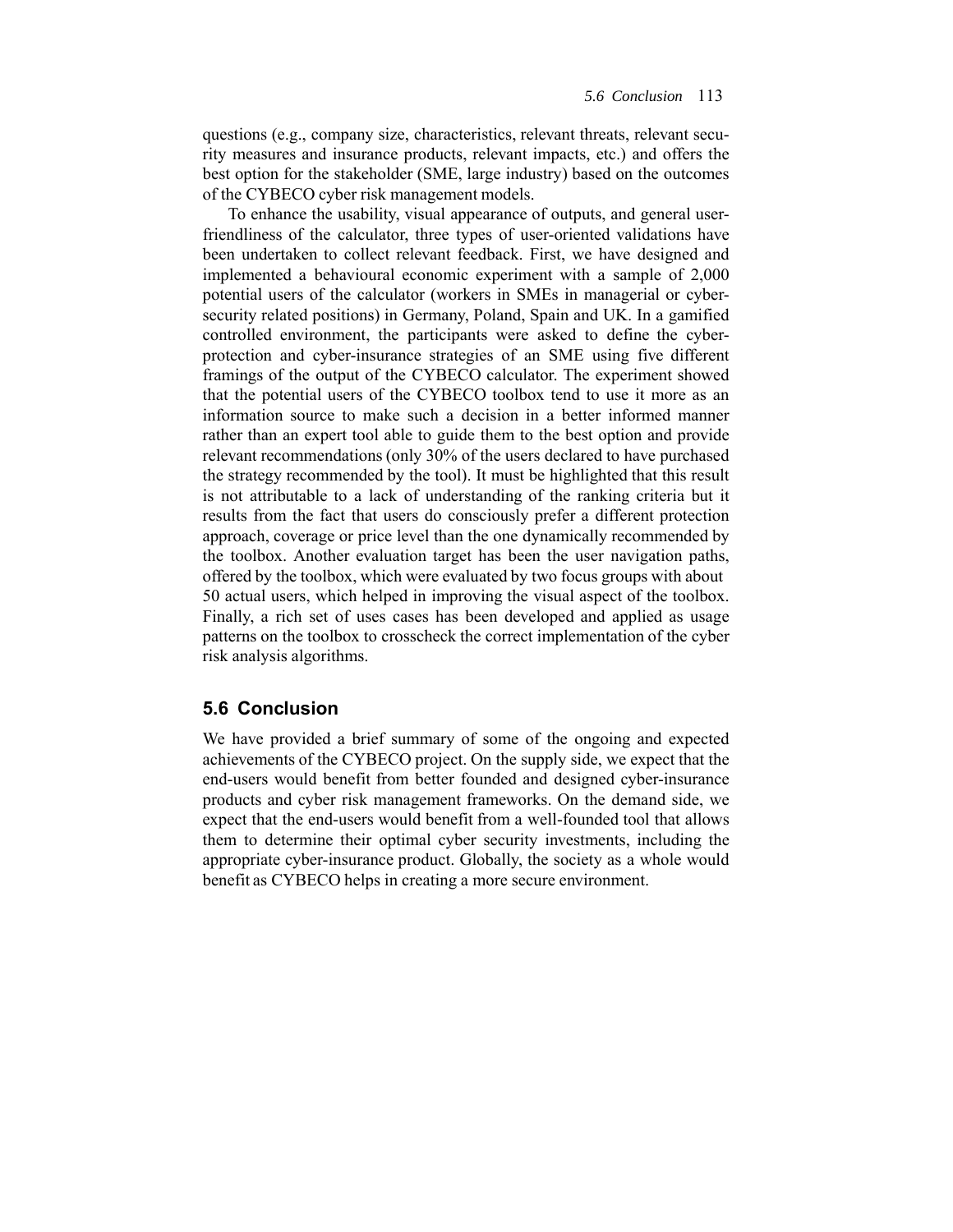questions (e.g., company size, characteristics, relevant threats, relevant security measures and insurance products, relevant impacts, etc.) and offers the best option for the stakeholder (SME, large industry) based on the outcomes of the CYBECO cyber risk management models.

To enhance the usability, visual appearance of outputs, and general userfriendliness of the calculator, three types of user-oriented validations have been undertaken to collect relevant feedback. First, we have designed and implemented a behavioural economic experiment with a sample of 2,000 potential users of the calculator (workers in SMEs in managerial or cybersecurity related positions) in Germany, Poland, Spain and UK. In a gamified controlled environment, the participants were asked to define the cyberprotection and cyber-insurance strategies of an SME using five different framings of the output of the CYBECO calculator. The experiment showed that the potential users of the CYBECO toolbox tend to use it more as an information source to make such a decision in a better informed manner rather than an expert tool able to guide them to the best option and provide relevant recommendations (only 30% of the users declared to have purchased the strategy recommended by the tool). It must be highlighted that this result is not attributable to a lack of understanding of the ranking criteria but it results from the fact that users do consciously prefer a different protection approach, coverage or price level than the one dynamically recommended by the toolbox. Another evaluation target has been the user navigation paths, offered by the toolbox, which were evaluated by two focus groups with about 50 actual users, which helped in improving the visual aspect of the toolbox. Finally, a rich set of uses cases has been developed and applied as usage patterns on the toolbox to crosscheck the correct implementation of the cyber risk analysis algorithms.

# **5.6 Conclusion**

We have provided a brief summary of some of the ongoing and expected achievements of the CYBECO project. On the supply side, we expect that the end-users would benefit from better founded and designed cyber-insurance products and cyber risk management frameworks. On the demand side, we expect that the end-users would benefit from a well-founded tool that allows them to determine their optimal cyber security investments, including the appropriate cyber-insurance product. Globally, the society as a whole would benefit as CYBECO helps in creating a more secure environment.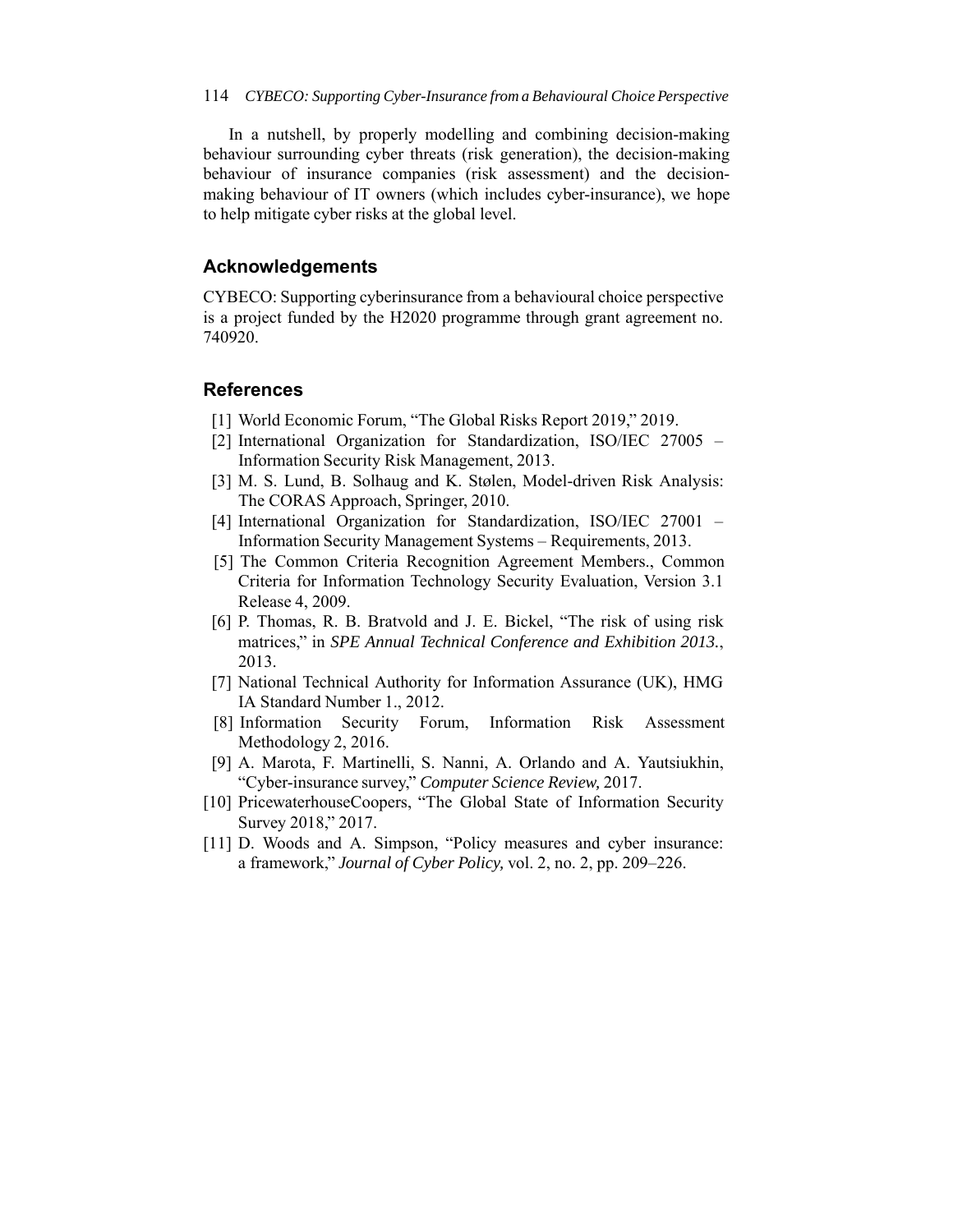In a nutshell, by properly modelling and combining decision-making behaviour surrounding cyber threats (risk generation), the decision-making behaviour of insurance companies (risk assessment) and the decisionmaking behaviour of IT owners (which includes cyber-insurance), we hope to help mitigate cyber risks at the global level.

#### **Acknowledgements**

CYBECO: Supporting cyberinsurance from a behavioural choice perspective is a project funded by the H2020 programme through grant agreement no. 740920.

#### **References**

- [1] World Economic Forum, "The Global Risks Report 2019," 2019.
- [2] International Organization for Standardization, ISO/IEC 27005 Information Security Risk Management, 2013.
- [3] M. S. Lund, B. Solhaug and K. Stølen, Model-driven Risk Analysis: The CORAS Approach, Springer, 2010.
- [4] International Organization for Standardization, ISO/IEC 27001 Information Security Management Systems – Requirements, 2013.
- [5] The Common Criteria Recognition Agreement Members., Common Criteria for Information Technology Security Evaluation, Version 3.1 Release 4, 2009.
- [6] P. Thomas, R. B. Bratvold and J. E. Bickel, "The risk of using risk matrices," in *SPE Annual Technical Conference and Exhibition 2013.*, 2013.
- [7] National Technical Authority for Information Assurance (UK), HMG IA Standard Number 1., 2012.
- [8] Information Security Forum, Information Risk Assessment Methodology 2, 2016.
- [9] A. Marota, F. Martinelli, S. Nanni, A. Orlando and A. Yautsiukhin, "Cyber-insurance survey," *Computer Science Review,* 2017.
- [10] PricewaterhouseCoopers, "The Global State of Information Security Survey 2018," 2017.
- [11] D. Woods and A. Simpson, "Policy measures and cyber insurance: a framework," *Journal of Cyber Policy,* vol. 2, no. 2, pp. 209–226.